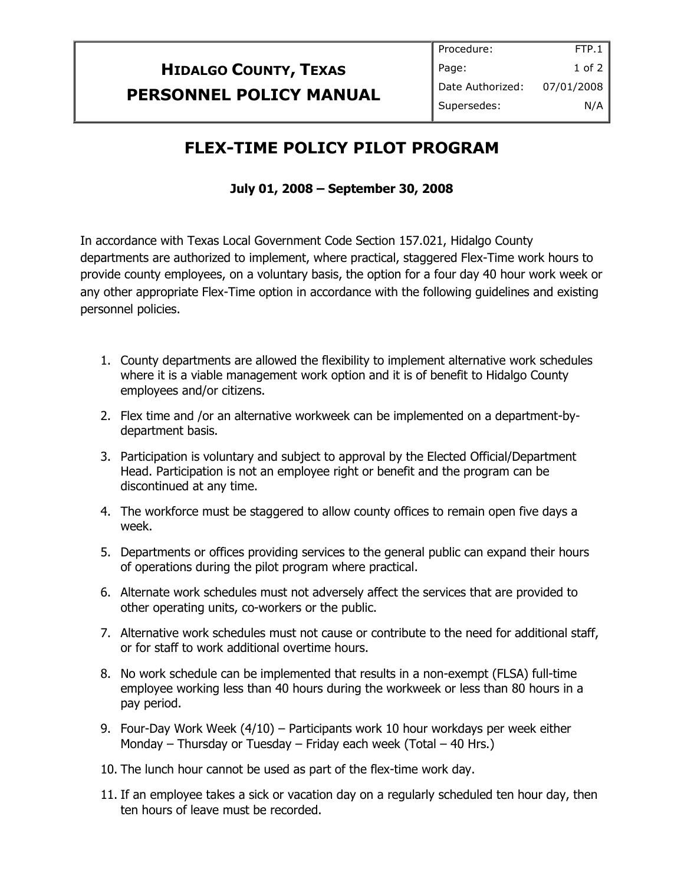## **HIDALGO COUNTY, TEXAS PERSONNEL POLICY MANUAL**

## **FLEX-TIME POLICY PILOT PROGRAM**

## **July 01, 2008 – September 30, 2008**

In accordance with Texas Local Government Code Section 157.021, Hidalgo County departments are authorized to implement, where practical, staggered Flex-Time work hours to provide county employees, on a voluntary basis, the option for a four day 40 hour work week or any other appropriate Flex-Time option in accordance with the following guidelines and existing personnel policies.

- 1. County departments are allowed the flexibility to implement alternative work schedules where it is a viable management work option and it is of benefit to Hidalgo County employees and/or citizens.
- 2. Flex time and /or an alternative workweek can be implemented on a department-bydepartment basis.
- 3. Participation is voluntary and subject to approval by the Elected Official/Department Head. Participation is not an employee right or benefit and the program can be discontinued at any time.
- 4. The workforce must be staggered to allow county offices to remain open five days a week.
- 5. Departments or offices providing services to the general public can expand their hours of operations during the pilot program where practical.
- 6. Alternate work schedules must not adversely affect the services that are provided to other operating units, co-workers or the public.
- 7. Alternative work schedules must not cause or contribute to the need for additional staff, or for staff to work additional overtime hours.
- 8. No work schedule can be implemented that results in a non-exempt (FLSA) full-time employee working less than 40 hours during the workweek or less than 80 hours in a pay period.
- 9. Four-Day Work Week (4/10) Participants work 10 hour workdays per week either Monday – Thursday or Tuesday – Friday each week (Total – 40 Hrs.)
- 10. The lunch hour cannot be used as part of the flex-time work day.
- 11. If an employee takes a sick or vacation day on a regularly scheduled ten hour day, then ten hours of leave must be recorded.